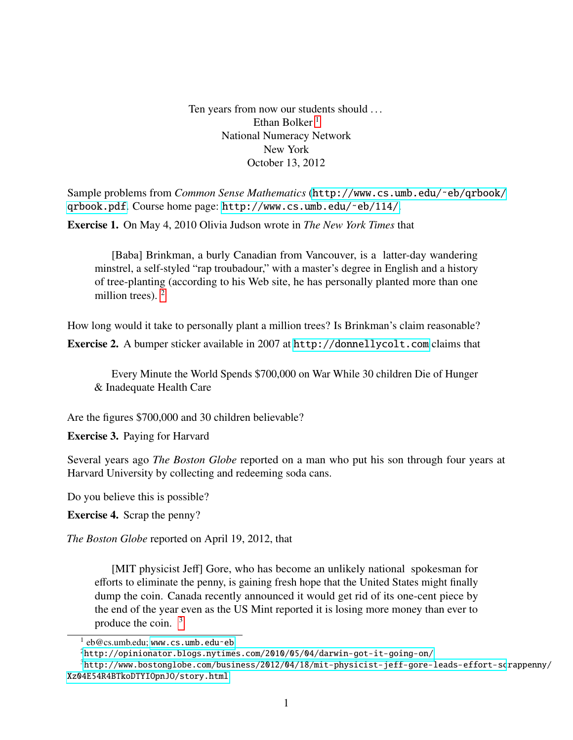Ten years from now our students should ... Ethan Bolker<sup>[1](#page-0-0)</sup> National Numeracy Network New York October 13, 2012

Sample problems from *Common Sense Mathematics* ([http://www.cs.umb.edu/˜eb/qrbook/](http://www.cs.umb.edu/~eb/qrbook/qrbook.pdf) [qrbook.pdf](http://www.cs.umb.edu/~eb/qrbook/qrbook.pdf). Course home page: [http://www.cs.umb.edu/˜eb/114/](http://www.cs.umb.edu/~eb/114/).

Exercise 1. On May 4, 2010 Olivia Judson wrote in *The New York Times* that

[Baba] Brinkman, a burly Canadian from Vancouver, is a latter-day wandering minstrel, a self-styled "rap troubadour," with a master's degree in English and a history of tree-planting (according to his Web site, he has personally planted more than one million trees).  $2$ 

How long would it take to personally plant a million trees? Is Brinkman's claim reasonable? Exercise 2. A bumper sticker available in 2007 at <http://donnellycolt.com> claims that

Every Minute the World Spends \$700,000 on War While 30 children Die of Hunger & Inadequate Health Care

Are the figures \$700,000 and 30 children believable?

Exercise 3. Paying for Harvard

Several years ago *The Boston Globe* reported on a man who put his son through four years at Harvard University by collecting and redeeming soda cans.

Do you believe this is possible?

Exercise 4. Scrap the penny?

*The Boston Globe* reported on April 19, 2012, that

[MIT physicist Jeff] Gore, who has become an unlikely national spokesman for efforts to eliminate the penny, is gaining fresh hope that the United States might finally dump the coin. Canada recently announced it would get rid of its one-cent piece by the end of the year even as the US Mint reported it is losing more money than ever to produce the coin.  $3 \frac{1}{2}$  $3 \frac{1}{2}$ 

<span id="page-0-0"></span> $\frac{1}{2}$  eb@cs.umb.edu; www.cs.umb.edu~eb.

<span id="page-0-2"></span><span id="page-0-1"></span> ${}^{2}$ [http://opinionator.blogs.nytimes.com/2010/05/04/darwin-got-it-going-on/](http://opinionator.blogs.nytimes.com/2010/05/04/darwin-got-it-going-on/ )

 $3$ [http://www.bostonglobe.com/business/2012/04/18/mit-physicist-jeff-gore-leads-effort-sc]( http://www.bostonglobe.com/business/2012/04/18/mit-physicist-jeff-gore-leads-effort-scrap penny/Xz04E54R4BTkoDTYIOpnJO/story.html )rappenny/ [Xz04E54R4BTkoDTYIOpnJO/story.html]( http://www.bostonglobe.com/business/2012/04/18/mit-physicist-jeff-gore-leads-effort-scrap penny/Xz04E54R4BTkoDTYIOpnJO/story.html )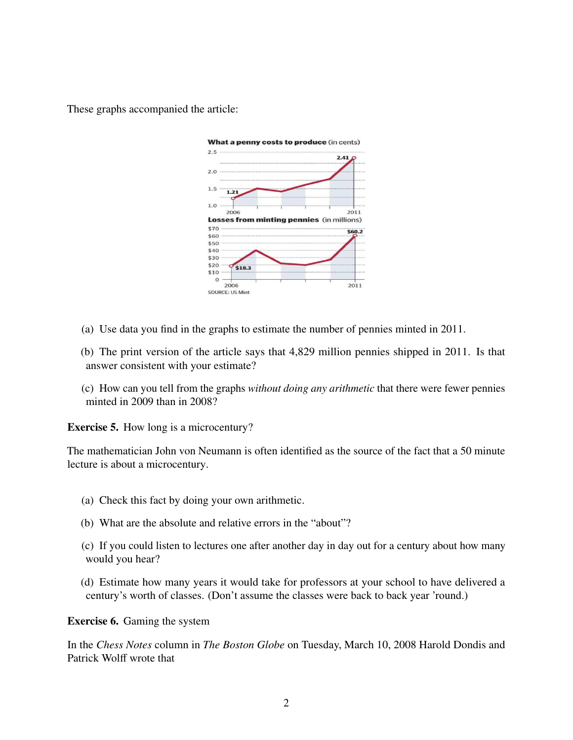These graphs accompanied the article:



- (a) Use data you find in the graphs to estimate the number of pennies minted in 2011.
- (b) The print version of the article says that 4,829 million pennies shipped in 2011. Is that answer consistent with your estimate?
- (c) How can you tell from the graphs *without doing any arithmetic* that there were fewer pennies minted in 2009 than in 2008?

Exercise 5. How long is a microcentury?

The mathematician John von Neumann is often identified as the source of the fact that a 50 minute lecture is about a microcentury.

- (a) Check this fact by doing your own arithmetic.
- (b) What are the absolute and relative errors in the "about"?
- (c) If you could listen to lectures one after another day in day out for a century about how many would you hear?
- (d) Estimate how many years it would take for professors at your school to have delivered a century's worth of classes. (Don't assume the classes were back to back year 'round.)

Exercise 6. Gaming the system

In the *Chess Notes* column in *The Boston Globe* on Tuesday, March 10, 2008 Harold Dondis and Patrick Wolff wrote that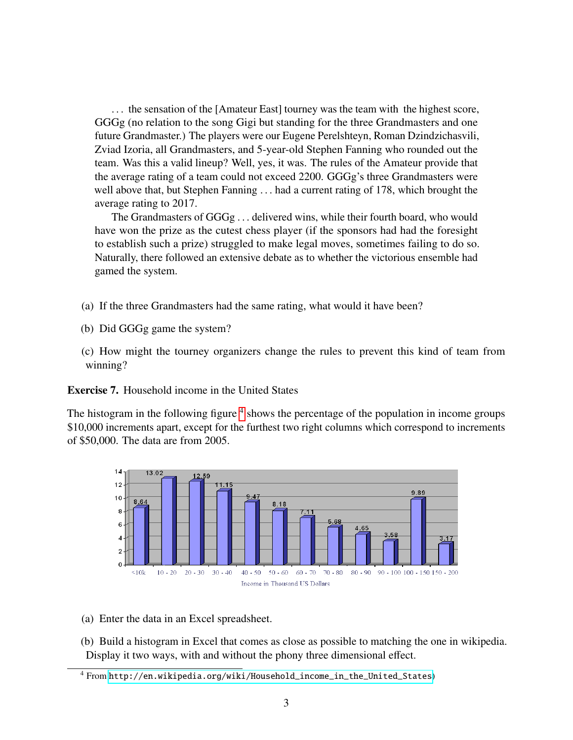. . . the sensation of the [Amateur East] tourney was the team with the highest score, GGGg (no relation to the song Gigi but standing for the three Grandmasters and one future Grandmaster.) The players were our Eugene Perelshteyn, Roman Dzindzichasvili, Zviad Izoria, all Grandmasters, and 5-year-old Stephen Fanning who rounded out the team. Was this a valid lineup? Well, yes, it was. The rules of the Amateur provide that the average rating of a team could not exceed 2200. GGGg's three Grandmasters were well above that, but Stephen Fanning . . . had a current rating of 178, which brought the average rating to 2017.

The Grandmasters of GGGg . . . delivered wins, while their fourth board, who would have won the prize as the cutest chess player (if the sponsors had had the foresight to establish such a prize) struggled to make legal moves, sometimes failing to do so. Naturally, there followed an extensive debate as to whether the victorious ensemble had gamed the system.

- (a) If the three Grandmasters had the same rating, what would it have been?
- (b) Did GGGg game the system?
- (c) How might the tourney organizers change the rules to prevent this kind of team from winning?

Exercise 7. Household income in the United States

The histogram in the following figure <sup>[4](#page-2-0)</sup> shows the percentage of the population in income groups \$10,000 increments apart, except for the furthest two right columns which correspond to increments of \$50,000. The data are from 2005.



(a) Enter the data in an Excel spreadsheet.

(b) Build a histogram in Excel that comes as close as possible to matching the one in wikipedia. Display it two ways, with and without the phony three dimensional effect.

<span id="page-2-0"></span><sup>4</sup> From [http://en.wikipedia.org/wiki/Household\\_income\\_in\\_the\\_United\\_States](http://en.wikipedia.org/wiki/Household_income_in_the_United_States))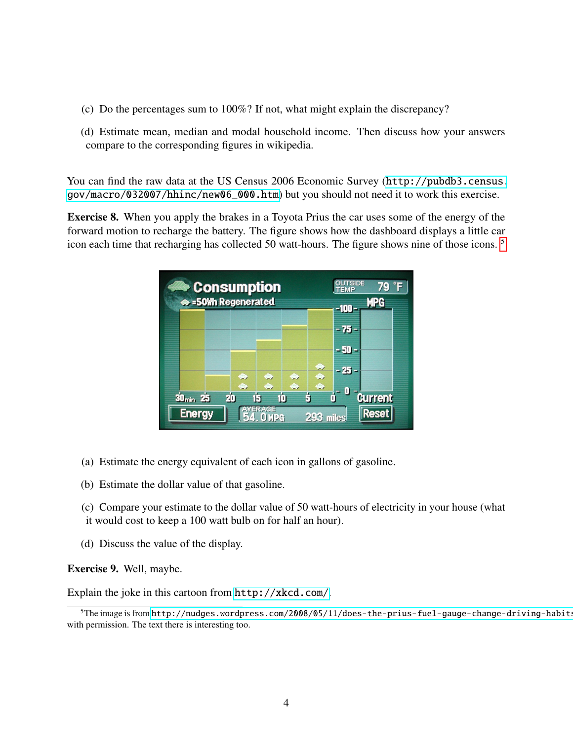- (c) Do the percentages sum to 100%? If not, what might explain the discrepancy?
- (d) Estimate mean, median and modal household income. Then discuss how your answers compare to the corresponding figures in wikipedia.

You can find the raw data at the US Census 2006 Economic Survey ([http://pubdb3.census.](http://pubdb3.census.gov/macro/032007/hhinc/new06_000.htm) [gov/macro/032007/hhinc/new06\\_000.htm](http://pubdb3.census.gov/macro/032007/hhinc/new06_000.htm)) but you should not need it to work this exercise.

Exercise 8. When you apply the brakes in a Toyota Prius the car uses some of the energy of the forward motion to recharge the battery. The figure shows how the dashboard displays a little car icon each time that recharging has collected 50 watt-hours. The figure shows nine of those icons. [5](#page-3-0)

| $\bullet$ Consumption<br>Sollh Regenerated |          |                          |        |                | <b>OUTSIDE</b><br><b>TEMP</b><br>$-100 -$ | 79 °F<br><b>MPG</b>     |
|--------------------------------------------|----------|--------------------------|--------|----------------|-------------------------------------------|-------------------------|
|                                            |          |                          |        |                | - 75 -<br>$-50-$                          |                         |
|                                            | ⊕<br>۰   | ♠<br>۰                   | ⊕<br>۰ | ⊕<br>٠<br>۰    | - 25 -                                    |                         |
| 30 <sub>min</sub> 25<br>Energy             | 20<br>15 | <b>AVERAGE</b><br>. OMPG | 10     | ś<br>293 miles | -0                                        | <b>Current</b><br>Reset |

- (a) Estimate the energy equivalent of each icon in gallons of gasoline.
- (b) Estimate the dollar value of that gasoline.
- (c) Compare your estimate to the dollar value of 50 watt-hours of electricity in your house (what it would cost to keep a 100 watt bulb on for half an hour).
- (d) Discuss the value of the display.

Exercise 9. Well, maybe.

Explain the joke in this cartoon from <http://xkcd.com/>.

<span id="page-3-0"></span><sup>&</sup>lt;sup>5</sup>The image is from http://nudges.wordpress.com/2008/05/11/does-the-prius-fuel-gauge-change-driving-habits with permission. The text there is interesting too.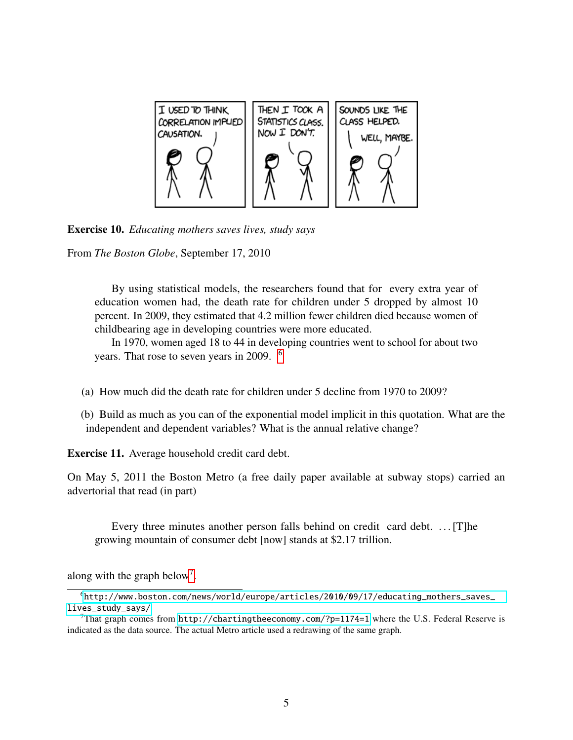

Exercise 10. *Educating mothers saves lives, study says*

From *The Boston Globe*, September 17, 2010

By using statistical models, the researchers found that for every extra year of education women had, the death rate for children under 5 dropped by almost 10 percent. In 2009, they estimated that 4.2 million fewer children died because women of childbearing age in developing countries were more educated.

In 1970, women aged 18 to 44 in developing countries went to school for about two years. That rose to seven years in 2009. [6](#page-4-0)

- (a) How much did the death rate for children under 5 decline from 1970 to 2009?
- (b) Build as much as you can of the exponential model implicit in this quotation. What are the independent and dependent variables? What is the annual relative change?

Exercise 11. Average household credit card debt.

On May 5, 2011 the Boston Metro (a free daily paper available at subway stops) carried an advertorial that read (in part)

Every three minutes another person falls behind on credit card debt. ... [T]he growing mountain of consumer debt [now] stands at \$2.17 trillion.

along with the graph below<sup>[7](#page-4-1)</sup>.

<span id="page-4-0"></span><sup>6</sup>[http://www.boston.com/news/world/europe/articles/2010/09/17/educating\\_mothers\\_saves\\_](http://www.boston.com/news/world/europe/articles/2010/09/17/educating_mothers_saves_lives_study_says/ ) [lives\\_study\\_says/](http://www.boston.com/news/world/europe/articles/2010/09/17/educating_mothers_saves_lives_study_says/ )

<span id="page-4-1"></span><sup>&</sup>lt;sup>7</sup>That graph comes from <http://chartingtheeconomy.com/?p=1174=1> where the U.S. Federal Reserve is indicated as the data source. The actual Metro article used a redrawing of the same graph.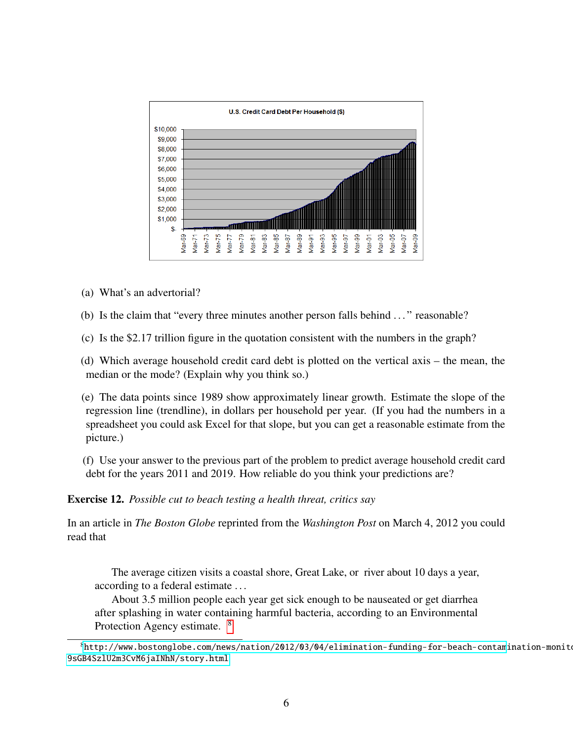

- (a) What's an advertorial?
- (b) Is the claim that "every three minutes another person falls behind . . . " reasonable?
- (c) Is the \$2.17 trillion figure in the quotation consistent with the numbers in the graph?

(d) Which average household credit card debt is plotted on the vertical axis – the mean, the median or the mode? (Explain why you think so.)

(e) The data points since 1989 show approximately linear growth. Estimate the slope of the regression line (trendline), in dollars per household per year. (If you had the numbers in a spreadsheet you could ask Excel for that slope, but you can get a reasonable estimate from the picture.)

(f) Use your answer to the previous part of the problem to predict average household credit card debt for the years 2011 and 2019. How reliable do you think your predictions are?

Exercise 12. *Possible cut to beach testing a health threat, critics say*

In an article in *The Boston Globe* reprinted from the *Washington Post* on March 4, 2012 you could read that

The average citizen visits a coastal shore, Great Lake, or river about 10 days a year, according to a federal estimate . . .

About 3.5 million people each year get sick enough to be nauseated or get diarrhea after splashing in water containing harmful bacteria, according to an Environmental Protection Agency estimate. [8](#page-5-0)

<span id="page-5-0"></span> $^8$ [http://www.bostonglobe.com/news/nation/2012/03/04/elimination-funding-for-beach-contam]( http://www.bostonglobe.com/news/nation/2012/03/04/elimination-funding-for-beach-contamination-monitoring-could-health-hazard-environmentalists-say/9sGB4SzlU2m3CvM6jaINhN/story.html )ination-monit $\cdot$ [9sGB4SzlU2m3CvM6jaINhN/story.html]( http://www.bostonglobe.com/news/nation/2012/03/04/elimination-funding-for-beach-contamination-monitoring-could-health-hazard-environmentalists-say/9sGB4SzlU2m3CvM6jaINhN/story.html )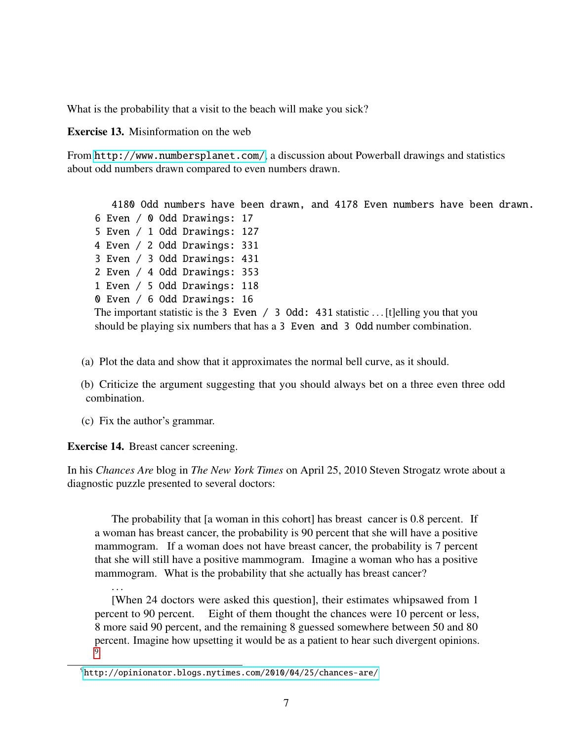What is the probability that a visit to the beach will make you sick?

Exercise 13. Misinformation on the web

From <http://www.numbersplanet.com/>, a discussion about Powerball drawings and statistics about odd numbers drawn compared to even numbers drawn.

4180 Odd numbers have been drawn, and 4178 Even numbers have been drawn. 6 Even / 0 Odd Drawings: 17 5 Even / 1 Odd Drawings: 127 4 Even / 2 Odd Drawings: 331 3 Even / 3 Odd Drawings: 431 2 Even / 4 Odd Drawings: 353 1 Even / 5 Odd Drawings: 118 0 Even / 6 Odd Drawings: 16 The important statistic is the 3 Even / 3 Odd: 431 statistic ... [t] elling you that you should be playing six numbers that has a 3 Even and 3 Odd number combination.

- (a) Plot the data and show that it approximates the normal bell curve, as it should.
- (b) Criticize the argument suggesting that you should always bet on a three even three odd combination.
- (c) Fix the author's grammar.

## Exercise 14. Breast cancer screening.

In his *Chances Are* blog in *The New York Times* on April 25, 2010 Steven Strogatz wrote about a diagnostic puzzle presented to several doctors:

The probability that [a woman in this cohort] has breast cancer is 0.8 percent. If a woman has breast cancer, the probability is 90 percent that she will have a positive mammogram. If a woman does not have breast cancer, the probability is 7 percent that she will still have a positive mammogram. Imagine a woman who has a positive mammogram. What is the probability that she actually has breast cancer?

[When 24 doctors were asked this question], their estimates whipsawed from 1 percent to 90 percent. Eight of them thought the chances were 10 percent or less, 8 more said 90 percent, and the remaining 8 guessed somewhere between 50 and 80 percent. Imagine how upsetting it would be as a patient to hear such divergent opinions. [9](#page-6-0)

<sup>. . .</sup>

<span id="page-6-0"></span><sup>9</sup>[http://opinionator.blogs.nytimes.com/2010/04/25/chances-are/]( http://opinionator.blogs.nytimes.com/2010/04/25/chances-are/ )